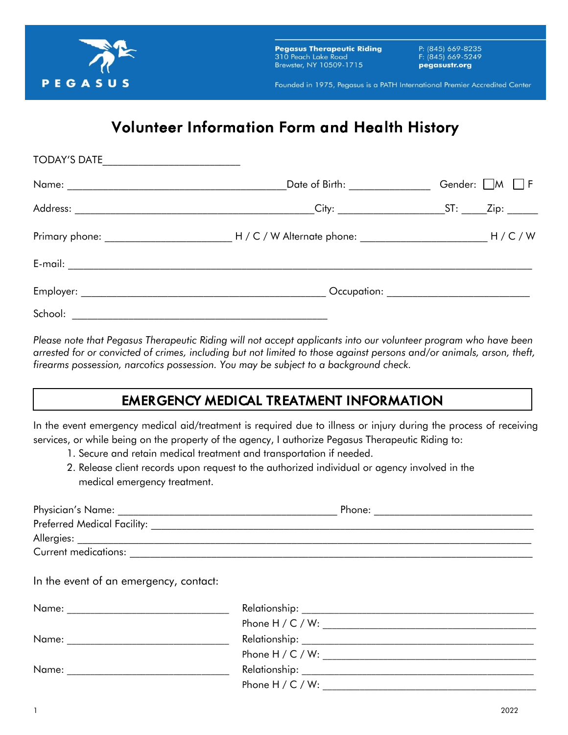

**Pegasus Therapeutic Riding** 310 Peach Lake Road Brewster, NY 10509-1715

P: (845) 669-8235 F: (845) 669-5249 pegasustr.org

Founded in 1975, Pegasus is a PATH International Premier Accredited Center

# *Volunteer Information Form and Health History*

| TODAY'S DATE ________________________ |                                                                                                                     |                                              |
|---------------------------------------|---------------------------------------------------------------------------------------------------------------------|----------------------------------------------|
|                                       | Date of Birth: _______________                                                                                      | Gender: $\Box M$ $\Box F$                    |
|                                       |                                                                                                                     |                                              |
|                                       | Primary phone: _________________________________H / C / W Alternate phone: _______________________________H / C / W |                                              |
|                                       |                                                                                                                     |                                              |
|                                       |                                                                                                                     | Occupation: ________________________________ |
| School:                               |                                                                                                                     |                                              |

*Please note that Pegasus Therapeutic Riding will not accept applicants into our volunteer program who have been arrested for or convicted of crimes, including but not limited to those against persons and/or animals, arson, theft, firearms possession, narcotics possession. You may be subject to a background check.* 

### *EMERGENCY MEDICAL TREATMENT INFORMATION*

In the event emergency medical aid/treatment is required due to illness or injury during the process of receiving services, or while being on the property of the agency, I authorize Pegasus Therapeutic Riding to:

- 1. Secure and retain medical treatment and transportation if needed.
- 2. Release client records upon request to the authorized individual or agency involved in the medical emergency treatment.

| Physician's Name: <b>Example 2018</b>  | Phone: |
|----------------------------------------|--------|
| <b>Preferred Medical Facility:</b>     |        |
| Allergies: ______________________      |        |
| Current medications:                   |        |
| In the event of an emergency, contact: |        |

| Name: | Relationship:        |  |
|-------|----------------------|--|
|       |                      |  |
| Name: |                      |  |
|       |                      |  |
| Name: | Relationship:        |  |
|       | Phone H $/$ C $/$ W: |  |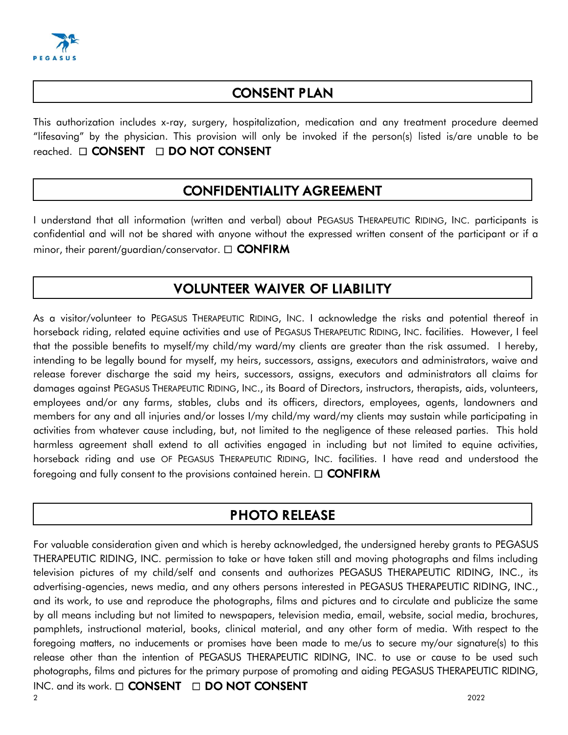

#### *CONSENT PLAN*

This authorization includes x-ray, surgery, hospitalization, medication and any treatment procedure deemed "lifesaving" by the physician. This provision will only be invoked if the person(s) listed is/are unable to be reached.  *CONSENT DO NOT CONSENT*

#### *CONFIDENTIALITY AGREEMENT*

I understand that all information (written and verbal) about PEGASUS THERAPEUTIC RIDING, INC. participants is confidential and will not be shared with anyone without the expressed written consent of the participant or if a minor, their parent/guardian/conservator.  *CONFIRM*

#### *VOLUNTEER WAIVER OF LIABILITY*

As a visitor/volunteer to PEGASUS THERAPEUTIC RIDING, INC. I acknowledge the risks and potential thereof in horseback riding, related equine activities and use of PEGASUS THERAPEUTIC RIDING, INC. facilities. However, I feel that the possible benefits to myself/my child/my ward/my clients are greater than the risk assumed. I hereby, intending to be legally bound for myself, my heirs, successors, assigns, executors and administrators, waive and release forever discharge the said my heirs, successors, assigns, executors and administrators all claims for damages against PEGASUS THERAPEUTIC RIDING, INC., its Board of Directors, instructors, therapists, aids, volunteers, employees and/or any farms, stables, clubs and its officers, directors, employees, agents, landowners and members for any and all injuries and/or losses I/my child/my ward/my clients may sustain while participating in activities from whatever cause including, but, not limited to the negligence of these released parties. This hold harmless agreement shall extend to all activities engaged in including but not limited to equine activities, horseback riding and use OF PEGASUS THERAPEUTIC RIDING, INC. facilities. I have read and understood the foregoing and fully consent to the provisions contained herein.  *CONFIRM*

#### *PHOTO RELEASE*

2 and  $2022$ For valuable consideration given and which is hereby acknowledged, the undersigned hereby grants to PEGASUS THERAPEUTIC RIDING, INC. permission to take or have taken still and moving photographs and films including television pictures of my child/self and consents and authorizes PEGASUS THERAPEUTIC RIDING, INC., its advertising-agencies, news media, and any others persons interested in PEGASUS THERAPEUTIC RIDING, INC., and its work, to use and reproduce the photographs, films and pictures and to circulate and publicize the same by all means including but not limited to newspapers, television media, email, website, social media, brochures, pamphlets, instructional material, books, clinical material, and any other form of media. With respect to the foregoing matters, no inducements or promises have been made to me/us to secure my/our signature(s) to this release other than the intention of PEGASUS THERAPEUTIC RIDING, INC. to use or cause to be used such photographs, films and pictures for the primary purpose of promoting and aiding PEGASUS THERAPEUTIC RIDING, INC. and its work. □ **CONSENT** □ **DO NOT CONSENT**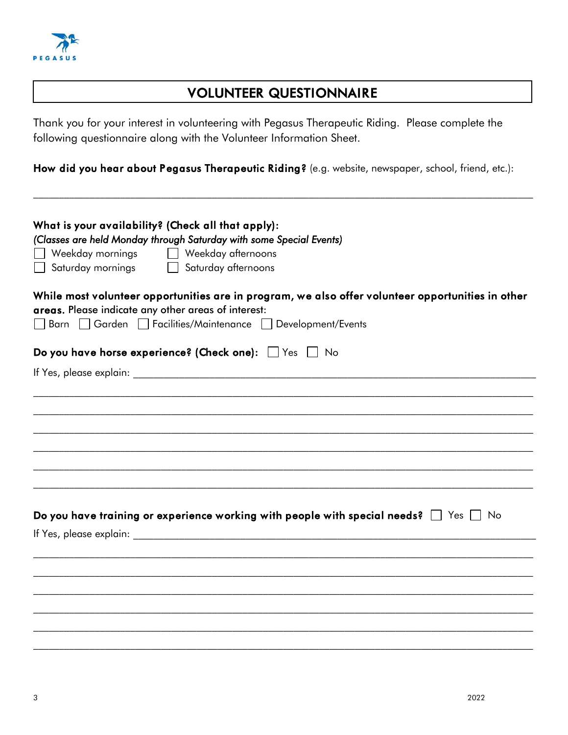

#### *VOLUNTEER QUESTIONNAIRE*

Thank you for your interest in volunteering with Pegasus Therapeutic Riding. Please complete the following questionnaire along with the Volunteer Information Sheet.

*How did you hear about Pegasus Therapeutic Riding?* (e.g. website, newspaper, school, friend, etc.):

 $\mathcal{L}_\mathcal{L} = \{ \mathcal{L}_\mathcal{L} = \{ \mathcal{L}_\mathcal{L} = \{ \mathcal{L}_\mathcal{L} = \{ \mathcal{L}_\mathcal{L} = \{ \mathcal{L}_\mathcal{L} = \{ \mathcal{L}_\mathcal{L} = \{ \mathcal{L}_\mathcal{L} = \{ \mathcal{L}_\mathcal{L} = \{ \mathcal{L}_\mathcal{L} = \{ \mathcal{L}_\mathcal{L} = \{ \mathcal{L}_\mathcal{L} = \{ \mathcal{L}_\mathcal{L} = \{ \mathcal{L}_\mathcal{L} = \{ \mathcal{L}_\mathcal{$ 

| What is your availability? (Check all that apply):<br>(Classes are held Monday through Saturday with some Special Events)<br>Weekday mornings<br>Weekday afternoons<br>Saturday mornings<br>Saturday afternoons           |  |  |  |  |  |
|---------------------------------------------------------------------------------------------------------------------------------------------------------------------------------------------------------------------------|--|--|--|--|--|
| While most volunteer opportunities are in program, we also offer volunteer opportunities in other<br>areas. Please indicate any other areas of interest:<br>□ Barn □ Garden □ Facilities/Maintenance □ Development/Events |  |  |  |  |  |
| Do you have horse experience? (Check one): Yes No                                                                                                                                                                         |  |  |  |  |  |
|                                                                                                                                                                                                                           |  |  |  |  |  |
|                                                                                                                                                                                                                           |  |  |  |  |  |
|                                                                                                                                                                                                                           |  |  |  |  |  |
|                                                                                                                                                                                                                           |  |  |  |  |  |
|                                                                                                                                                                                                                           |  |  |  |  |  |
|                                                                                                                                                                                                                           |  |  |  |  |  |
|                                                                                                                                                                                                                           |  |  |  |  |  |
| Do you have training or experience working with people with special needs? $\Box$ Yes $\Box$ No                                                                                                                           |  |  |  |  |  |
|                                                                                                                                                                                                                           |  |  |  |  |  |
|                                                                                                                                                                                                                           |  |  |  |  |  |
|                                                                                                                                                                                                                           |  |  |  |  |  |
|                                                                                                                                                                                                                           |  |  |  |  |  |
|                                                                                                                                                                                                                           |  |  |  |  |  |
|                                                                                                                                                                                                                           |  |  |  |  |  |
|                                                                                                                                                                                                                           |  |  |  |  |  |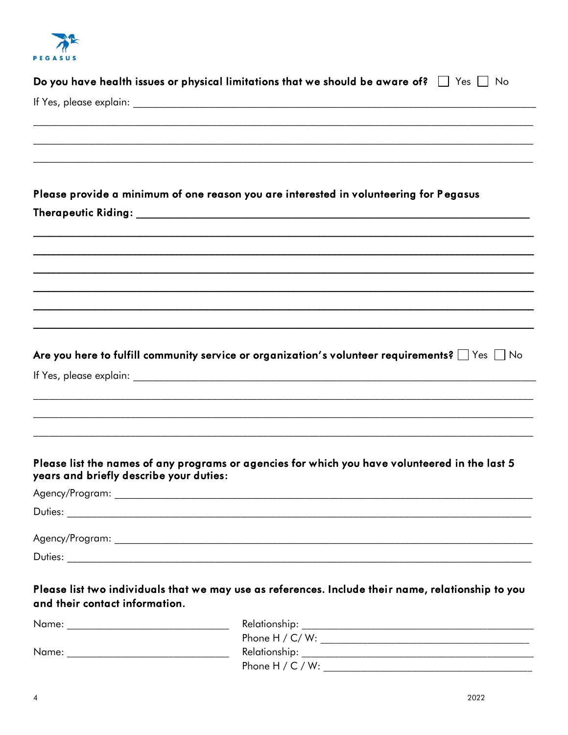PEGASUS

| Please provide a minimum of one reason you are interested in volunteering for Pegasus<br>Are you here to fulfill community service or organization's volunteer requirements? $\Box$ Yes $\Box$ No<br>Please list the names of any programs or agencies for which you have volunteered in the last 5<br>years and briefly describe your duties:<br>Please list two individuals that we may use as references. Include their name, relationship to you<br>and their contact information. | Do you have health issues or physical limitations that we should be aware of? $\Box$ Yes $\Box$ No |
|----------------------------------------------------------------------------------------------------------------------------------------------------------------------------------------------------------------------------------------------------------------------------------------------------------------------------------------------------------------------------------------------------------------------------------------------------------------------------------------|----------------------------------------------------------------------------------------------------|
|                                                                                                                                                                                                                                                                                                                                                                                                                                                                                        |                                                                                                    |
|                                                                                                                                                                                                                                                                                                                                                                                                                                                                                        |                                                                                                    |
|                                                                                                                                                                                                                                                                                                                                                                                                                                                                                        |                                                                                                    |
|                                                                                                                                                                                                                                                                                                                                                                                                                                                                                        |                                                                                                    |
|                                                                                                                                                                                                                                                                                                                                                                                                                                                                                        |                                                                                                    |
|                                                                                                                                                                                                                                                                                                                                                                                                                                                                                        |                                                                                                    |
|                                                                                                                                                                                                                                                                                                                                                                                                                                                                                        |                                                                                                    |
|                                                                                                                                                                                                                                                                                                                                                                                                                                                                                        |                                                                                                    |
|                                                                                                                                                                                                                                                                                                                                                                                                                                                                                        |                                                                                                    |
|                                                                                                                                                                                                                                                                                                                                                                                                                                                                                        |                                                                                                    |
|                                                                                                                                                                                                                                                                                                                                                                                                                                                                                        |                                                                                                    |
|                                                                                                                                                                                                                                                                                                                                                                                                                                                                                        |                                                                                                    |
|                                                                                                                                                                                                                                                                                                                                                                                                                                                                                        |                                                                                                    |
|                                                                                                                                                                                                                                                                                                                                                                                                                                                                                        |                                                                                                    |
|                                                                                                                                                                                                                                                                                                                                                                                                                                                                                        |                                                                                                    |
|                                                                                                                                                                                                                                                                                                                                                                                                                                                                                        |                                                                                                    |
|                                                                                                                                                                                                                                                                                                                                                                                                                                                                                        |                                                                                                    |
|                                                                                                                                                                                                                                                                                                                                                                                                                                                                                        |                                                                                                    |
|                                                                                                                                                                                                                                                                                                                                                                                                                                                                                        |                                                                                                    |
|                                                                                                                                                                                                                                                                                                                                                                                                                                                                                        |                                                                                                    |
|                                                                                                                                                                                                                                                                                                                                                                                                                                                                                        |                                                                                                    |
|                                                                                                                                                                                                                                                                                                                                                                                                                                                                                        |                                                                                                    |
|                                                                                                                                                                                                                                                                                                                                                                                                                                                                                        |                                                                                                    |
|                                                                                                                                                                                                                                                                                                                                                                                                                                                                                        |                                                                                                    |
|                                                                                                                                                                                                                                                                                                                                                                                                                                                                                        |                                                                                                    |
|                                                                                                                                                                                                                                                                                                                                                                                                                                                                                        |                                                                                                    |
|                                                                                                                                                                                                                                                                                                                                                                                                                                                                                        |                                                                                                    |
|                                                                                                                                                                                                                                                                                                                                                                                                                                                                                        |                                                                                                    |
|                                                                                                                                                                                                                                                                                                                                                                                                                                                                                        |                                                                                                    |
|                                                                                                                                                                                                                                                                                                                                                                                                                                                                                        |                                                                                                    |
|                                                                                                                                                                                                                                                                                                                                                                                                                                                                                        |                                                                                                    |
|                                                                                                                                                                                                                                                                                                                                                                                                                                                                                        |                                                                                                    |
|                                                                                                                                                                                                                                                                                                                                                                                                                                                                                        |                                                                                                    |
|                                                                                                                                                                                                                                                                                                                                                                                                                                                                                        |                                                                                                    |
|                                                                                                                                                                                                                                                                                                                                                                                                                                                                                        |                                                                                                    |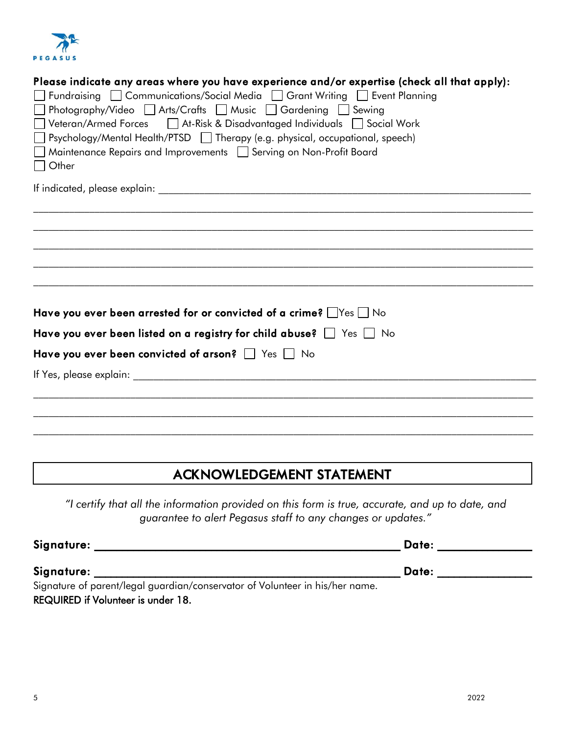

| Please indicate any areas where you have experience and/or expertise (check all that apply):<br>Fundraising Communications/Social Media Grant Writing Event Planning<br>□ Photography/Video □ Arts/Crafts □ Music □ Gardening □ Sewing<br>Veteran/Armed Forces   At-Risk & Disadvantaged Individuals   Social Work<br>□ Psychology/Mental Health/PTSD □ Therapy (e.g. physical, occupational, speech)<br>Maintenance Repairs and Improvements   Serving on Non-Profit Board<br><b>Other</b> |
|---------------------------------------------------------------------------------------------------------------------------------------------------------------------------------------------------------------------------------------------------------------------------------------------------------------------------------------------------------------------------------------------------------------------------------------------------------------------------------------------|
|                                                                                                                                                                                                                                                                                                                                                                                                                                                                                             |
|                                                                                                                                                                                                                                                                                                                                                                                                                                                                                             |
|                                                                                                                                                                                                                                                                                                                                                                                                                                                                                             |
|                                                                                                                                                                                                                                                                                                                                                                                                                                                                                             |
|                                                                                                                                                                                                                                                                                                                                                                                                                                                                                             |
|                                                                                                                                                                                                                                                                                                                                                                                                                                                                                             |
|                                                                                                                                                                                                                                                                                                                                                                                                                                                                                             |
| Have you ever been arrested for or convicted of a crime? $\Box$ Yes $\Box$ No                                                                                                                                                                                                                                                                                                                                                                                                               |
| Have you ever been listed on a registry for child abuse? $\Box$ Yes $\Box$ No                                                                                                                                                                                                                                                                                                                                                                                                               |
| Have you ever been convicted of arson? $\Box$ Yes $\Box$ No                                                                                                                                                                                                                                                                                                                                                                                                                                 |
|                                                                                                                                                                                                                                                                                                                                                                                                                                                                                             |
|                                                                                                                                                                                                                                                                                                                                                                                                                                                                                             |
|                                                                                                                                                                                                                                                                                                                                                                                                                                                                                             |
|                                                                                                                                                                                                                                                                                                                                                                                                                                                                                             |

### *ACKNOWLEDGEMENT STATEMENT*

*"I certify that all the information provided on this form is true, accurate, and up to date, and guarantee to alert Pegasus staff to any changes or updates."*

| Signature:                                                                   | Date: |  |
|------------------------------------------------------------------------------|-------|--|
| Signature:                                                                   | Date: |  |
| Signature of parent/legal guardian/conservator of Volunteer in his/her name. |       |  |
| <b>REQUIRED if Volunteer is under 18.</b>                                    |       |  |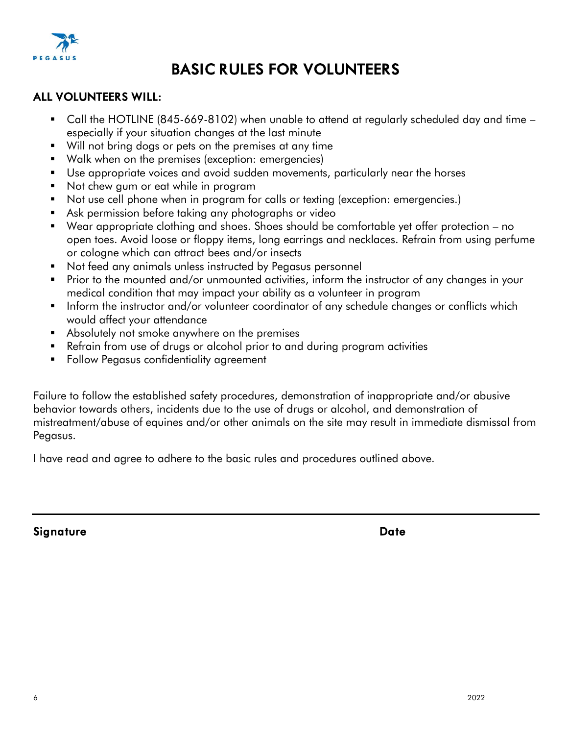

# *BASIC RULES FOR VOLUNTEERS*

#### *ALL VOLUNTEERS WILL:*

- Call the HOTLINE (845-669-8102) when unable to attend at regularly scheduled day and time especially if your situation changes at the last minute
- Will not bring dogs or pets on the premises at any time
- Walk when on the premises (exception: emergencies)
- Use appropriate voices and avoid sudden movements, particularly near the horses
- Not chew gum or eat while in program
- Not use cell phone when in program for calls or texting (exception: emergencies.)
- Ask permission before taking any photographs or video
- Wear appropriate clothing and shoes. Shoes should be comfortable yet offer protection no open toes. Avoid loose or floppy items, long earrings and necklaces. Refrain from using perfume or cologne which can attract bees and/or insects
- Not feed any animals unless instructed by Pegasus personnel
- Prior to the mounted and/or unmounted activities, inform the instructor of any changes in your medical condition that may impact your ability as a volunteer in program
- Inform the instructor and/or volunteer coordinator of any schedule changes or conflicts which would affect your attendance
- Absolutely not smoke anywhere on the premises
- Refrain from use of drugs or alcohol prior to and during program activities
- Follow Pegasus confidentiality agreement

Failure to follow the established safety procedures, demonstration of inappropriate and/or abusive behavior towards others, incidents due to the use of drugs or alcohol, and demonstration of mistreatment/abuse of equines and/or other animals on the site may result in immediate dismissal from Pegasus.

I have read and agree to adhere to the basic rules and procedures outlined above.

*Signature Date*